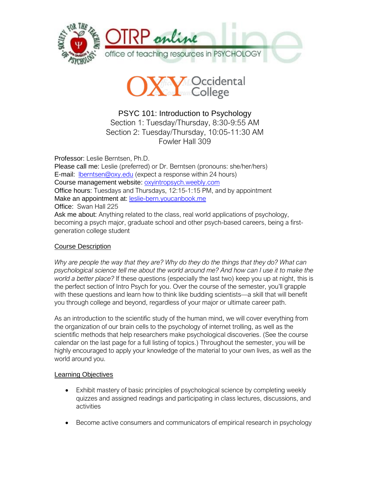



PSYC 101: Introduction to Psychology Section 1: Tuesday/Thursday, 8:30-9:55 AM Section 2: Tuesday/Thursday, 10:05-11:30 AM Fowler Hall 309

Professor: Leslie Berntsen, Ph.D. Please call me: Leslie (preferred) or Dr. Berntsen (pronouns: she/her/hers) E-mail: [lberntsen@oxy.edu](mailto:lberntsen@oxy.edu) (expect a response within 24 hours) Course management website: <oxyintropsych.weebly.com> Office hours: Tuesdays and Thursdays, 12:15-1:15 PM, and by appointment Make an appointment at: <leslie-bern.youcanbook.me> Office: Swan Hall 225 Ask me about: Anything related to the class, real world applications of psychology, becoming a psych major, graduate school and other psych-based careers, being a firstgeneration college student

# Course Description

*Why are people the way that they are? Why do they do the things that they do? What can*  psychological science tell me about the world around me? And how can I use it to make the *world a better place?* If these questions (especially the last two) keep you up at night, this is the perfect section of Intro Psych for you. Over the course of the semester, you'll grapple with these questions and learn how to think like budding scientists—a skill that will benefit you through college and beyond, regardless of your major or ultimate career path.

As an introduction to the scientific study of the human mind, we will cover everything from the organization of our brain cells to the psychology of internet trolling, as well as the scientific methods that help researchers make psychological discoveries. (See the course calendar on the last page for a full listing of topics.) Throughout the semester, you will be highly encouraged to apply your knowledge of the material to your own lives, as well as the world around you.

# **Learning Objectives**

- Exhibit mastery of basic principles of psychological science by completing weekly quizzes and assigned readings and participating in class lectures, discussions, and activities
- Become active consumers and communicators of empirical research in psychology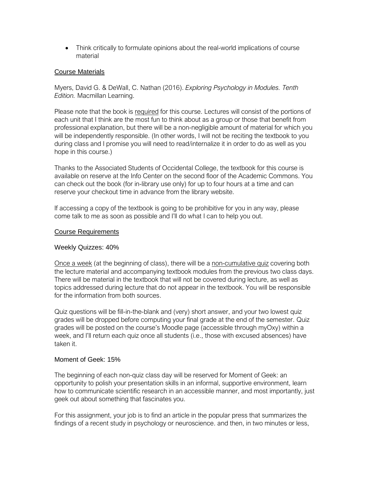• Think critically to formulate opinions about the real-world implications of course material

## Course Materials

Myers, David G. & DeWall, C. Nathan (2016). *Exploring Psychology in Modules. Tenth Edition.* Macmillan Learning.

Please note that the book is required for this course. Lectures will consist of the portions of each unit that I think are the most fun to think about as a group or those that benefit from professional explanation, but there will be a non-negligible amount of material for which you will be independently responsible. (In other words, I will not be reciting the textbook to you during class and I promise you will need to read/internalize it in order to do as well as you hope in this course.)

Thanks to the Associated Students of Occidental College, the textbook for this course is available on reserve at the Info Center on the second floor of the Academic Commons. You can check out the book (for in-library use only) for up to four hours at a time and can reserve your checkout time in advance from the library website.

If accessing a copy of the textbook is going to be prohibitive for you in any way, please come talk to me as soon as possible and I'll do what I can to help you out.

### Course Requirements

## Weekly Quizzes: 40%

Once a week (at the beginning of class), there will be a non-cumulative quiz covering both the lecture material and accompanying textbook modules from the previous two class days. There will be material in the textbook that will not be covered during lecture, as well as topics addressed during lecture that do not appear in the textbook. You will be responsible for the information from both sources.

Quiz questions will be fill-in-the-blank and (very) short answer, and your two lowest quiz grades will be dropped before computing your final grade at the end of the semester. Quiz grades will be posted on the course's Moodle page (accessible through myOxy) within a week, and I'll return each quiz once all students (i.e., those with excused absences) have taken it.

#### Moment of Geek: 15%

The beginning of each non-quiz class day will be reserved for Moment of Geek: an opportunity to polish your presentation skills in an informal, supportive environment, learn how to communicate scientific research in an accessible manner, and most importantly, just geek out about something that fascinates you.

For this assignment, your job is to find an article in the popular press that summarizes the findings of a recent study in psychology or neuroscience. and then, in two minutes or less,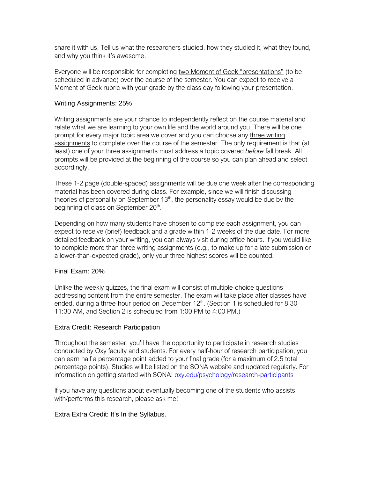share it with us. Tell us what the researchers studied, how they studied it, what they found, and why you think it's awesome.

Everyone will be responsible for completing two Moment of Geek "presentations" (to be scheduled in advance) over the course of the semester. You can expect to receive a Moment of Geek rubric with your grade by the class day following your presentation.

#### Writing Assignments: 25%

Writing assignments are your chance to independently reflect on the course material and relate what we are learning to your own life and the world around you. There will be one prompt for every major topic area we cover and you can choose any three writing assignments to complete over the course of the semester. The only requirement is that (at least) one of your three assignments must address a topic covered *before* fall break. All prompts will be provided at the beginning of the course so you can plan ahead and select accordingly.

These 1-2 page (double-spaced) assignments will be due one week after the corresponding material has been covered during class. For example, since we will finish discussing theories of personality on September  $13<sup>th</sup>$ , the personality essay would be due by the beginning of class on September 20<sup>th</sup>.

Depending on how many students have chosen to complete each assignment, you can expect to receive (brief) feedback and a grade within 1-2 weeks of the due date. For more detailed feedback on your writing, you can always visit during office hours. If you would like to complete more than three writing assignments (e.g., to make up for a late submission or a lower-than-expected grade), only your three highest scores will be counted.

## Final Exam: 20%

Unlike the weekly quizzes, the final exam will consist of multiple-choice questions addressing content from the entire semester. The exam will take place after classes have ended, during a three-hour period on December 12<sup>th</sup>. (Section 1 is scheduled for 8:30-11:30 AM, and Section 2 is scheduled from 1:00 PM to 4:00 PM.)

## Extra Credit: Research Participation

Throughout the semester, you'll have the opportunity to participate in research studies conducted by Oxy faculty and students. For every half-hour of research participation, you can earn half a percentage point added to your final grade (for a maximum of 2.5 total percentage points). Studies will be listed on the SONA website and updated regularly. For information on getting started with SONA: [oxy.edu/psychology/research-participants](https://www.oxy.edu/psychology/research-participants)

If you have any questions about eventually becoming one of the students who assists with/performs this research, please ask me!

## Extra Extra Credit: It's In the Syllabus.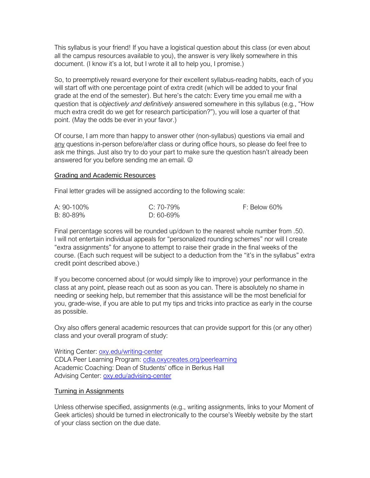This syllabus is your friend! If you have a logistical question about this class (or even about all the campus resources available to you), the answer is very likely somewhere in this document. (I know it's a lot, but I wrote it all to help you, I promise.)

So, to preemptively reward everyone for their excellent syllabus-reading habits, each of you will start off with one percentage point of extra credit (which will be added to your final grade at the end of the semester). But here's the catch: Every time you email me with a question that is *objectively and definitively* answered somewhere in this syllabus (e.g., "How much extra credit do we get for research participation?"), you will lose a quarter of that point. (May the odds be ever in your favor.)

Of course, I am more than happy to answer other (non-syllabus) questions via email and any questions in-person before/after class or during office hours, so please do feel free to ask me things. Just also try to do your part to make sure the question hasn't already been answered for you before sending me an email.  $\odot$ 

### Grading and Academic Resources

Final letter grades will be assigned according to the following scale:

| A: 90-100% | C: 70-79% | F: Below 60% |
|------------|-----------|--------------|
| B: 80-89%  | D: 60-69% |              |

Final percentage scores will be rounded up/down to the nearest whole number from .50. I will not entertain individual appeals for "personalized rounding schemes" nor will I create "extra assignments" for anyone to attempt to raise their grade in the final weeks of the course. (Each such request will be subject to a deduction from the "it's in the syllabus" extra credit point described above.)

If you become concerned about (or would simply like to improve) your performance in the class at any point, please reach out as soon as you can. There is absolutely no shame in needing or seeking help, but remember that this assistance will be the most beneficial for you, grade-wise, if you are able to put my tips and tricks into practice as early in the course as possible.

Oxy also offers general academic resources that can provide support for this (or any other) class and your overall program of study:

Writing Center: [oxy.edu/writing-center](http://www.oxy.edu/writing-center) CDLA Peer Learning Program:<cdla.oxycreates.org/peerlearning> Academic Coaching: Dean of Students' office in Berkus Hall Advising Center: [oxy.edu/advising-center](http://www.oxy.edu/advising-center)

#### Turning in Assignments

Unless otherwise specified, assignments (e.g., writing assignments, links to your Moment of Geek articles) should be turned in electronically to the course's Weebly website by the start of your class section on the due date.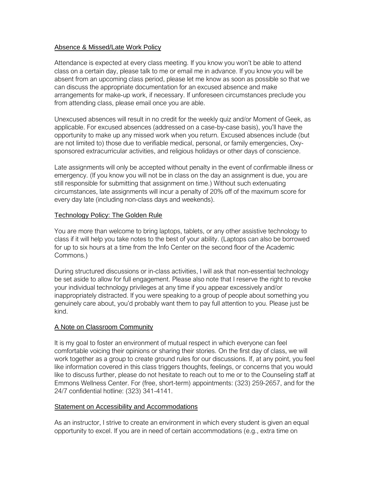## Absence & Missed/Late Work Policy

Attendance is expected at every class meeting. If you know you won't be able to attend class on a certain day, please talk to me or email me in advance. If you know you will be absent from an upcoming class period, please let me know as soon as possible so that we can discuss the appropriate documentation for an excused absence and make arrangements for make-up work, if necessary. If unforeseen circumstances preclude you from attending class, please email once you are able.

Unexcused absences will result in no credit for the weekly quiz and/or Moment of Geek, as applicable. For excused absences (addressed on a case-by-case basis), you'll have the opportunity to make up any missed work when you return. Excused absences include (but are not limited to) those due to verifiable medical, personal, or family emergencies, Oxysponsored extracurricular activities, and religious holidays or other days of conscience.

Late assignments will only be accepted without penalty in the event of confirmable illness or emergency. (If you know you will not be in class on the day an assignment is due, you are still responsible for submitting that assignment on time.) Without such extenuating circumstances, late assignments will incur a penalty of 20% off of the maximum score for every day late (including non-class days and weekends).

## Technology Policy: The Golden Rule

You are more than welcome to bring laptops, tablets, or any other assistive technology to class if it will help you take notes to the best of your ability. (Laptops can also be borrowed for up to six hours at a time from the Info Center on the second floor of the Academic Commons.)

During structured discussions or in-class activities, I will ask that non-essential technology be set aside to allow for full engagement. Please also note that I reserve the right to revoke your individual technology privileges at any time if you appear excessively and/or inappropriately distracted. If you were speaking to a group of people about something you genuinely care about, you'd probably want them to pay full attention to you. Please just be kind.

# A Note on Classroom Community

It is my goal to foster an environment of mutual respect in which everyone can feel comfortable voicing their opinions or sharing their stories. On the first day of class, we will work together as a group to create ground rules for our discussions. If, at any point, you feel like information covered in this class triggers thoughts, feelings, or concerns that you would like to discuss further, please do not hesitate to reach out to me or to the Counseling staff at Emmons Wellness Center. For (free, short-term) appointments: (323) 259-2657, and for the 24/7 confidential hotline: (323) 341-4141.

## Statement on Accessibility and Accommodations

As an instructor, I strive to create an environment in which every student is given an equal opportunity to excel. If you are in need of certain accommodations (e.g., extra time on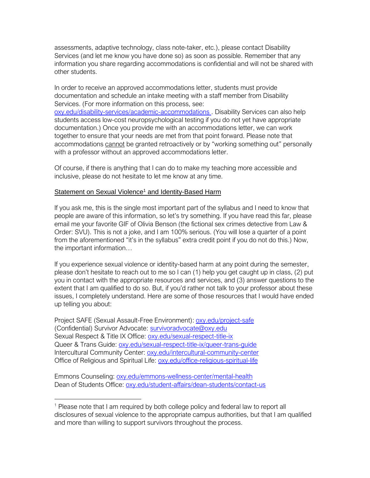assessments, adaptive technology, class note-taker, etc.), please contact Disability Services (and let me know you have done so) as soon as possible. Remember that any information you share regarding accommodations is confidential and will not be shared with other students.

In order to receive an approved accommodations letter, students must provide documentation and schedule an intake meeting with a staff member from Disability Services. (For more information on this process, see:

[oxy.edu/disability-services/academic-accommodations](https://www.oxy.edu/disability-services/academic-accommodations). Disability Services can also help students access low-cost neuropsychological testing if you do not yet have appropriate documentation.) Once you provide me with an accommodations letter, we can work together to ensure that your needs are met from that point forward. Please note that accommodations cannot be granted retroactively or by "working something out" personally with a professor without an approved accommodations letter.

Of course, if there is anything that I can do to make my teaching more accessible and inclusive, please do not hesitate to let me know at any time.

## Statement on Sexual Violence<sup>1</sup> and Identity-Based Harm

If you ask me, this is the single most important part of the syllabus and I need to know that people are aware of this information, so let's try something. If you have read this far, please email me your favorite GIF of Olivia Benson (the fictional sex crimes detective from Law & Order: SVU). This is not a joke, and I am 100% serious. (You will lose a quarter of a point from the aforementioned "it's in the syllabus" extra credit point if you do not do this.) Now, the important information…

If you experience sexual violence or identity-based harm at any point during the semester, please don't hesitate to reach out to me so I can (1) help you get caught up in class, (2) put you in contact with the appropriate resources and services, and (3) answer questions to the extent that I am qualified to do so. But, if you'd rather not talk to your professor about these issues, I completely understand. Here are some of those resources that I would have ended up telling you about:

Project SAFE (Sexual Assault-Free Environment): [oxy.edu/project-safe](https://www.oxy.edu/project-safe) (Confidential) Survivor Advocate: [survivoradvocate@oxy.edu](mailto:survivoradvocate@oxy.edu) Sexual Respect & Title IX Office:<oxy.edu/sexual-respect-title-ix> Queer & Trans Guide:<oxy.edu/sexual-respect-title-ix/queer-trans-guide> Intercultural Community Center:<oxy.edu/intercultural-community-center> Office of Religious and Spiritual Life:<oxy.edu/office-religious-spiritual-life>

Emmons Counseling:<oxy.edu/emmons-wellness-center/mental-health> Dean of Students Office:<oxy.edu/student-affairs/dean-students/contact-us>

 $\overline{a}$ 

<sup>1</sup> Please note that I am required by both college policy and federal law to report all disclosures of sexual violence to the appropriate campus authorities, but that I am qualified and more than willing to support survivors throughout the process.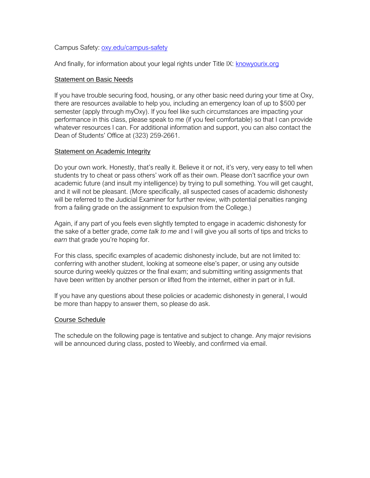Campus Safety:<oxy.edu/campus-safety>

And finally, for information about your legal rights under Title IX:<knowyourix.org>

### **Statement on Basic Needs**

If you have trouble securing food, housing, or any other basic need during your time at Oxy, there are resources available to help you, including an emergency loan of up to \$500 per semester (apply through myOxy). If you feel like such circumstances are impacting your performance in this class, please speak to me (if you feel comfortable) so that I can provide whatever resources I can. For additional information and support, you can also contact the Dean of Students' Office at (323) 259-2661.

## **Statement on Academic Integrity**

Do your own work. Honestly, that's really it. Believe it or not, it's very, very easy to tell when students try to cheat or pass others' work off as their own. Please don't sacrifice your own academic future (and insult my intelligence) by trying to pull something. You will get caught, and it will not be pleasant. (More specifically, all suspected cases of academic dishonesty will be referred to the Judicial Examiner for further review, with potential penalties ranging from a failing grade on the assignment to expulsion from the College.)

Again, if any part of you feels even slightly tempted to engage in academic dishonesty for the sake of a better grade, *come talk to me* and I will give you all sorts of tips and tricks to *earn* that grade you're hoping for.

For this class, specific examples of academic dishonesty include, but are not limited to: conferring with another student, looking at someone else's paper, or using any outside source during weekly quizzes or the final exam; and submitting writing assignments that have been written by another person or lifted from the internet, either in part or in full.

If you have any questions about these policies or academic dishonesty in general, I would be more than happy to answer them, so please do ask.

#### Course Schedule

The schedule on the following page is tentative and subject to change. Any major revisions will be announced during class, posted to Weebly, and confirmed via email.